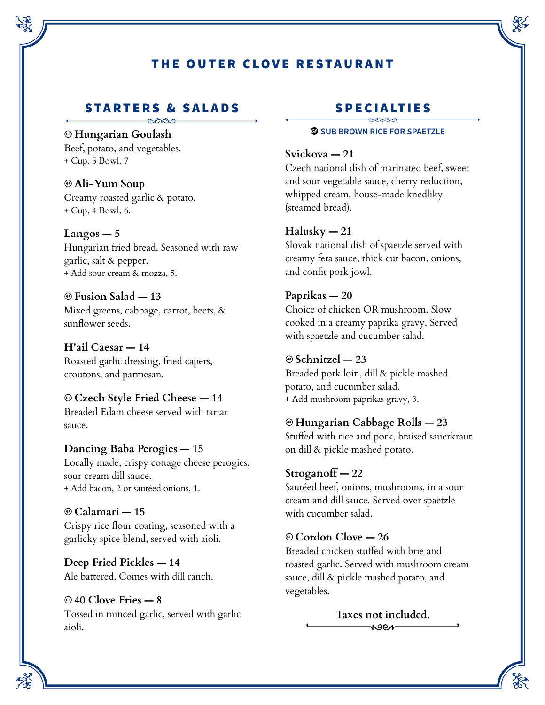# THE OUTER CLOVE RESTAURANT

# STA RTERS & SALADS

### Ô **Hungarian Goulash**

Beef, potato, and vegetables. + Cup, 5 Bowl, 7

Ô **Ali-Yum Soup** Creamy roasted garlic & potato. + Cup, 4 Bowl, 6.

**Langos — 5**

Hungarian fried bread. Seasoned with raw garlic, salt & pepper. + Add sour cream & mozza, 5.

Ô **Fusion Salad — 13** Mixed greens, cabbage, carrot, beets, & sunflower seeds.

**H'ail Caesar — 14** Roasted garlic dressing, fried capers, croutons, and parmesan.

Ô **Czech Style Fried Cheese — 14** Breaded Edam cheese served with tartar sauce.

**Dancing Baba Perogies — 15** Locally made, crispy cottage cheese perogies, sour cream dill sauce. + Add bacon, 2 or sautéed onions, 1.

# Ô **Calamari — 15**

Crispy rice flour coating, seasoned with a garlicky spice blend, served with aioli.

**Deep Fried Pickles — 14** Ale battered. Comes with dill ranch.

# Ô **40 Clove Fries — 8**

Tossed in minced garlic, served with garlic aioli.

# SPECIALTIES

#### **<b>G** SUB BROWN RICE FOR SPAETZLE

### **Svickova — 21**

Czech national dish of marinated beef, sweet and sour vegetable sauce, cherry reduction, whipped cream, house-made knedliky (steamed bread).

### **Halusky — 21**

Slovak national dish of spaetzle served with creamy feta sauce, thick cut bacon, onions, and confit pork jowl.

### **Paprikas — 20**

Choice of chicken OR mushroom. Slow cooked in a creamy paprika gravy. Served with spaetzle and cucumber salad.

### Ô **Schnitzel — 23**

Breaded pork loin, dill & pickle mashed potato, and cucumber salad. + Add mushroom paprikas gravy, 3.

### Ô **Hungarian Cabbage Rolls — 23**

Stuffed with rice and pork, braised sauerkraut on dill & pickle mashed potato.

### **Stroganoff — 22**

Sautéed beef, onions, mushrooms, in a sour cream and dill sauce. Served over spaetzle with cucumber salad.

### Ô **Cordon Clove — 26**

Breaded chicken stuffed with brie and roasted garlic. Served with mushroom cream sauce, dill & pickle mashed potato, and vegetables.

> **Taxes not included.** $\overline{\phantom{a}}$